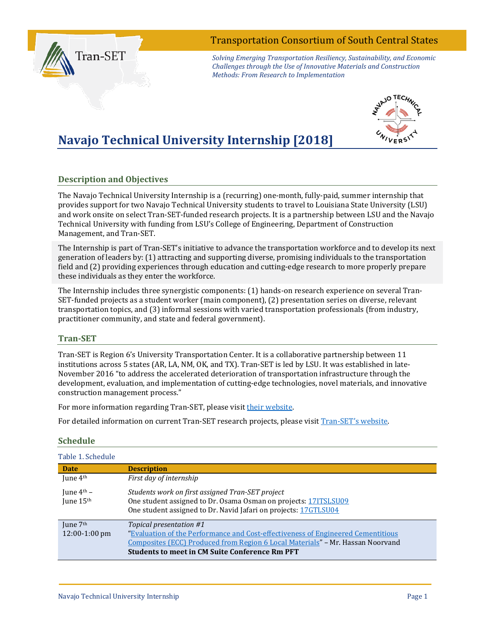## Transportation Consortium of South Central States

Tran-SET

*Solving Emerging Transportation Resiliency, Sustainability, and Economic Challenges through the Use of Innovative Materials and Construction Methods: From Research to Implementation*

# **Navajo Technical University Internship [2018]**



### **Description and Objectives**

The Navajo Technical University Internship is a (recurring) one-month, fully-paid, summer internship that provides support for two Navajo Technical University students to travel to Louisiana State University (LSU) and work onsite on select Tran-SET-funded research projects. It is a partnership between LSU and the Navajo Technical University with funding from LSU's College of Engineering, Department of Construction Management, and Tran-SET.

The Internship is part of Tran-SET's initiative to advance the transportation workforce and to develop its next generation of leaders by: (1) attracting and supporting diverse, promising individuals to the transportation field and (2) providing experiences through education and cutting-edge research to more properly prepare these individuals as they enter the workforce.

The Internship includes three synergistic components: (1) hands-on research experience on several Tran-SET-funded projects as a student worker (main component), (2) presentation series on diverse, relevant transportation topics, and (3) informal sessions with varied transportation professionals (from industry, practitioner community, and state and federal government).

#### **Tran-SET**

Tran-SET is Region 6's University Transportation Center. It is a collaborative partnership between 11 institutions across 5 states (AR, LA, NM, OK, and TX). Tran-SET is led by LSU. It was established in late-November 2016 "to address the accelerated deterioration of transportation infrastructure through the development, evaluation, and implementation of cutting-edge technologies, novel materials, and innovative construction management process."

For more information regarding Tran-SET, please visit [their website.](http://transet.lsu.edu/)

For detailed information on current Tran-SET research projects, please visit [Tran-SET's website.](http://transet.lsu.edu/research-in-progress/)

| Table 1. Schedule      |                                                                                  |
|------------------------|----------------------------------------------------------------------------------|
| <b>Date</b>            | <b>Description</b>                                                               |
| June 4 <sup>th</sup>   | First day of internship                                                          |
| June $4^{\text{th}}$ – | Students work on first assigned Tran-SET project                                 |
| June 15th              | One student assigned to Dr. Osama Osman on projects: 17ITSLSU09                  |
|                        | One student assigned to Dr. Navid Jafari on projects: 17GTLSU04                  |
| June 7 <sup>th</sup>   | Topical presentation #1                                                          |
| $12:00-1:00$ pm        | "Evaluation of the Performance and Cost-effectiveness of Engineered Cementitious |
|                        | Composites (ECC) Produced from Region 6 Local Materials" - Mr. Hassan Noorvand   |
|                        | <b>Students to meet in CM Suite Conference Rm PFT</b>                            |

#### **Schedule**